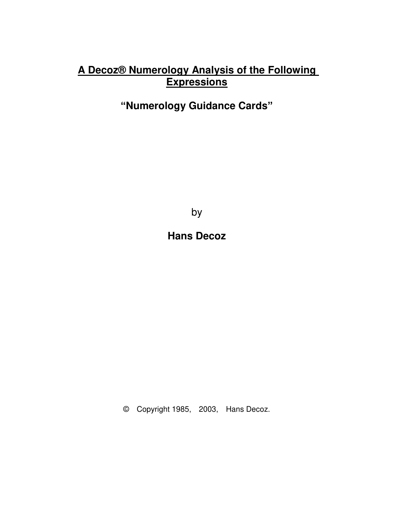# **A Decoz® Numerology Analysis of the Following Expressions**

# **"Numerology Guidance Cards"**

by

**Hans Decoz** 

© Copyright 1985, 2003, Hans Decoz.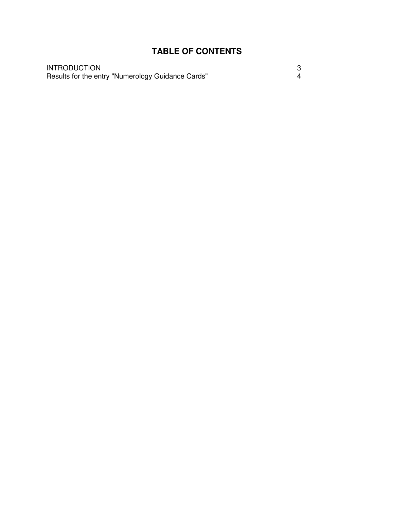## **TABLE OF CONTENTS**

**INTRODUCTION** INTRODUCTION 3 Results for the entry "Numerology Guidance Cards" 4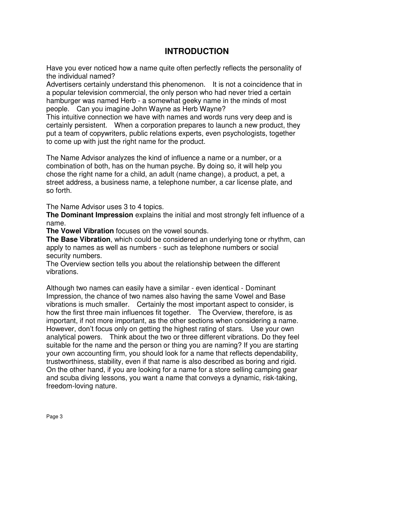## **INTRODUCTION**

Have you ever noticed how a name quite often perfectly reflects the personality of the individual named?

Advertisers certainly understand this phenomenon. It is not a coincidence that in a popular television commercial, the only person who had never tried a certain hamburger was named Herb - a somewhat geeky name in the minds of most people. Can you imagine John Wayne as Herb Wayne?

This intuitive connection we have with names and words runs very deep and is certainly persistent. When a corporation prepares to launch a new product, they put a team of copywriters, public relations experts, even psychologists, together to come up with just the right name for the product.

The Name Advisor analyzes the kind of influence a name or a number, or a combination of both, has on the human psyche. By doing so, it will help you chose the right name for a child, an adult (name change), a product, a pet, a street address, a business name, a telephone number, a car license plate, and so forth.

The Name Advisor uses 3 to 4 topics.

**The Dominant Impression** explains the initial and most strongly felt influence of a name.

**The Vowel Vibration** focuses on the vowel sounds.

**The Base Vibration**, which could be considered an underlying tone or rhythm, can apply to names as well as numbers - such as telephone numbers or social security numbers.

The Overview section tells you about the relationship between the different vibrations.

Although two names can easily have a similar - even identical - Dominant Impression, the chance of two names also having the same Vowel and Base vibrations is much smaller. Certainly the most important aspect to consider, is how the first three main influences fit together. The Overview, therefore, is as important, if not more important, as the other sections when considering a name. However, don't focus only on getting the highest rating of stars. Use your own analytical powers. Think about the two or three different vibrations. Do they feel suitable for the name and the person or thing you are naming? If you are starting your own accounting firm, you should look for a name that reflects dependability, trustworthiness, stability, even if that name is also described as boring and rigid. On the other hand, if you are looking for a name for a store selling camping gear and scuba diving lessons, you want a name that conveys a dynamic, risk-taking, freedom-loving nature.

Page 3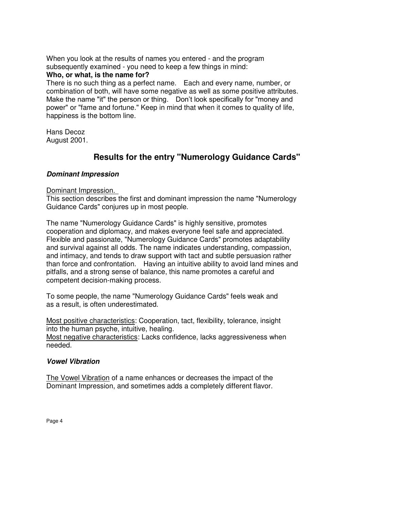When you look at the results of names you entered - and the program subsequently examined - you need to keep a few things in mind:

#### **Who, or what, is the name for?**

There is no such thing as a perfect name. Each and every name, number, or combination of both, will have some negative as well as some positive attributes. Make the name "it" the person or thing. Don't look specifically for "money and power" or "fame and fortune." Keep in mind that when it comes to quality of life, happiness is the bottom line.

Hans Decoz August 2001.

## **Results for the entry "Numerology Guidance Cards"**

#### *Dominant Impression*

#### Dominant Impression.

This section describes the first and dominant impression the name "Numerology Guidance Cards" conjures up in most people.

The name "Numerology Guidance Cards" is highly sensitive, promotes cooperation and diplomacy, and makes everyone feel safe and appreciated. Flexible and passionate, "Numerology Guidance Cards" promotes adaptability and survival against all odds. The name indicates understanding, compassion, and intimacy, and tends to draw support with tact and subtle persuasion rather than force and confrontation. Having an intuitive ability to avoid land mines and pitfalls, and a strong sense of balance, this name promotes a careful and competent decision-making process.

To some people, the name "Numerology Guidance Cards" feels weak and as a result, is often underestimated.

Most positive characteristics: Cooperation, tact, flexibility, tolerance, insight into the human psyche, intuitive, healing. Most negative characteristics: Lacks confidence, lacks aggressiveness when needed.

#### *Vowel Vibration*

The Vowel Vibration of a name enhances or decreases the impact of the Dominant Impression, and sometimes adds a completely different flavor.

Page 4